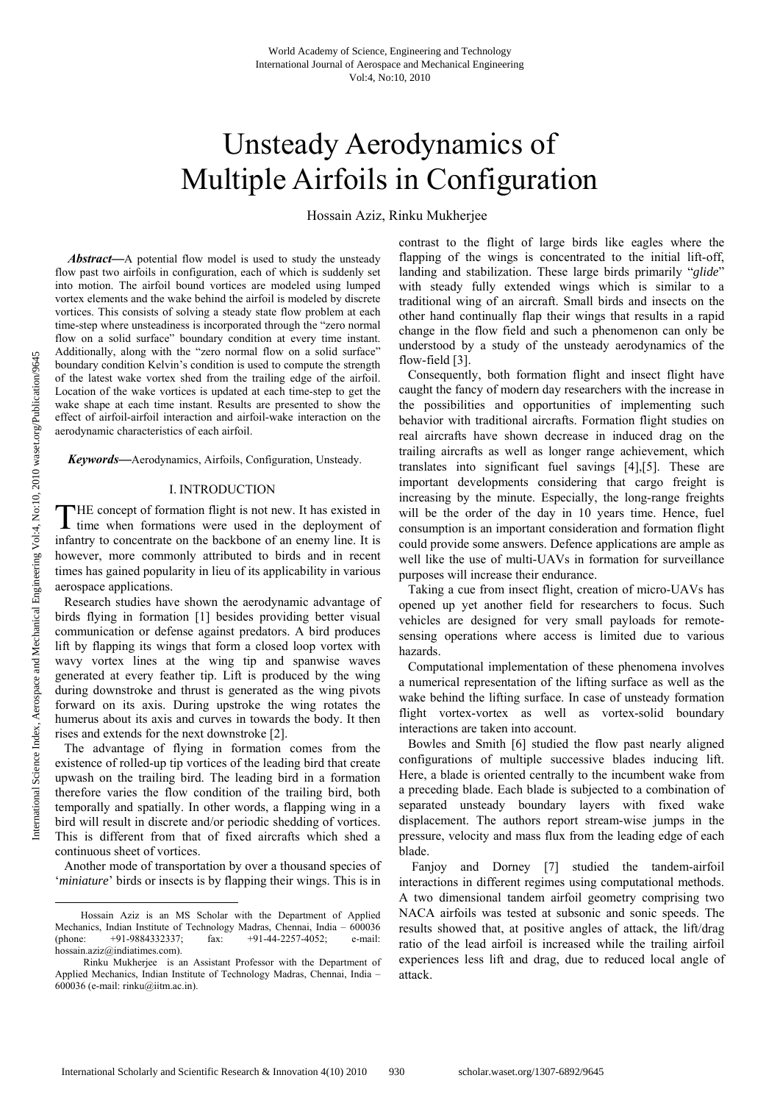# Unsteady Aerodynamics of Multiple Airfoils in Configuration

Hossain Aziz, Rinku Mukherjee

*Abstract***—**A potential flow model is used to study the unsteady flow past two airfoils in configuration, each of which is suddenly set into motion. The airfoil bound vortices are modeled using lumped vortex elements and the wake behind the airfoil is modeled by discrete vortices. This consists of solving a steady state flow problem at each time-step where unsteadiness is incorporated through the "zero normal flow on a solid surface" boundary condition at every time instant. Additionally, along with the "zero normal flow on a solid surface" boundary condition Kelvin's condition is used to compute the strength of the latest wake vortex shed from the trailing edge of the airfoil. Location of the wake vortices is updated at each time-step to get the wake shape at each time instant. Results are presented to show the effect of airfoil-airfoil interaction and airfoil-wake interaction on the aerodynamic characteristics of each airfoil.

*Keywords***—**Aerodynamics, Airfoils, Configuration, Unsteady.

#### I. INTRODUCTION

HE concept of formation flight is not new. It has existed in time when formations were used in the deployment of infantry to concentrate on the backbone of an enemy line. It is however, more commonly attributed to birds and in recent times has gained popularity in lieu of its applicability in various aerospace applications. T

Research studies have shown the aerodynamic advantage of birds flying in formation [1] besides providing better visual communication or defense against predators. A bird produces lift by flapping its wings that form a closed loop vortex with wavy vortex lines at the wing tip and spanwise waves generated at every feather tip. Lift is produced by the wing during downstroke and thrust is generated as the wing pivots forward on its axis. During upstroke the wing rotates the humerus about its axis and curves in towards the body. It then rises and extends for the next downstroke [2].

The advantage of flying in formation comes from the existence of rolled-up tip vortices of the leading bird that create upwash on the trailing bird. The leading bird in a formation therefore varies the flow condition of the trailing bird, both temporally and spatially. In other words, a flapping wing in a bird will result in discrete and/or periodic shedding of vortices. This is different from that of fixed aircrafts which shed a continuous sheet of vortices.

Another mode of transportation by over a thousand species of '*miniature*' birds or insects is by flapping their wings. This is in contrast to the flight of large birds like eagles where the flapping of the wings is concentrated to the initial lift-off, landing and stabilization. These large birds primarily "*glide*" with steady fully extended wings which is similar to a traditional wing of an aircraft. Small birds and insects on the other hand continually flap their wings that results in a rapid change in the flow field and such a phenomenon can only be understood by a study of the unsteady aerodynamics of the flow-field [3].

Consequently, both formation flight and insect flight have caught the fancy of modern day researchers with the increase in the possibilities and opportunities of implementing such behavior with traditional aircrafts. Formation flight studies on real aircrafts have shown decrease in induced drag on the trailing aircrafts as well as longer range achievement, which translates into significant fuel savings [4],[5]. These are important developments considering that cargo freight is increasing by the minute. Especially, the long-range freights will be the order of the day in 10 years time. Hence, fuel consumption is an important consideration and formation flight could provide some answers. Defence applications are ample as well like the use of multi-UAVs in formation for surveillance purposes will increase their endurance.

Taking a cue from insect flight, creation of micro-UAVs has opened up yet another field for researchers to focus. Such vehicles are designed for very small payloads for remotesensing operations where access is limited due to various hazards.

Computational implementation of these phenomena involves a numerical representation of the lifting surface as well as the wake behind the lifting surface. In case of unsteady formation flight vortex-vortex as well as vortex-solid boundary interactions are taken into account.

Bowles and Smith [6] studied the flow past nearly aligned configurations of multiple successive blades inducing lift. Here, a blade is oriented centrally to the incumbent wake from a preceding blade. Each blade is subjected to a combination of separated unsteady boundary layers with fixed wake displacement. The authors report stream-wise jumps in the pressure, velocity and mass flux from the leading edge of each blade.

 Fanjoy and Dorney [7] studied the tandem-airfoil interactions in different regimes using computational methods. A two dimensional tandem airfoil geometry comprising two NACA airfoils was tested at subsonic and sonic speeds. The results showed that, at positive angles of attack, the lift/drag ratio of the lead airfoil is increased while the trailing airfoil experiences less lift and drag, due to reduced local angle of attack.

1

Hossain Aziz is an MS Scholar with the Department of Applied Mechanics, Indian Institute of Technology Madras, Chennai, India –  $600036$ <br>
(phone: +91-9884332337; fax: +91-44-2257-4052; e-mail: (phone: +91-9884332337; fax: +91-44-2257-4052; e-mail: hossain.aziz@indiatimes.com).

Rinku Mukherjee is an Assistant Professor with the Department of Applied Mechanics, Indian Institute of Technology Madras, Chennai, India – 600036 (e-mail: rinku@iitm.ac.in).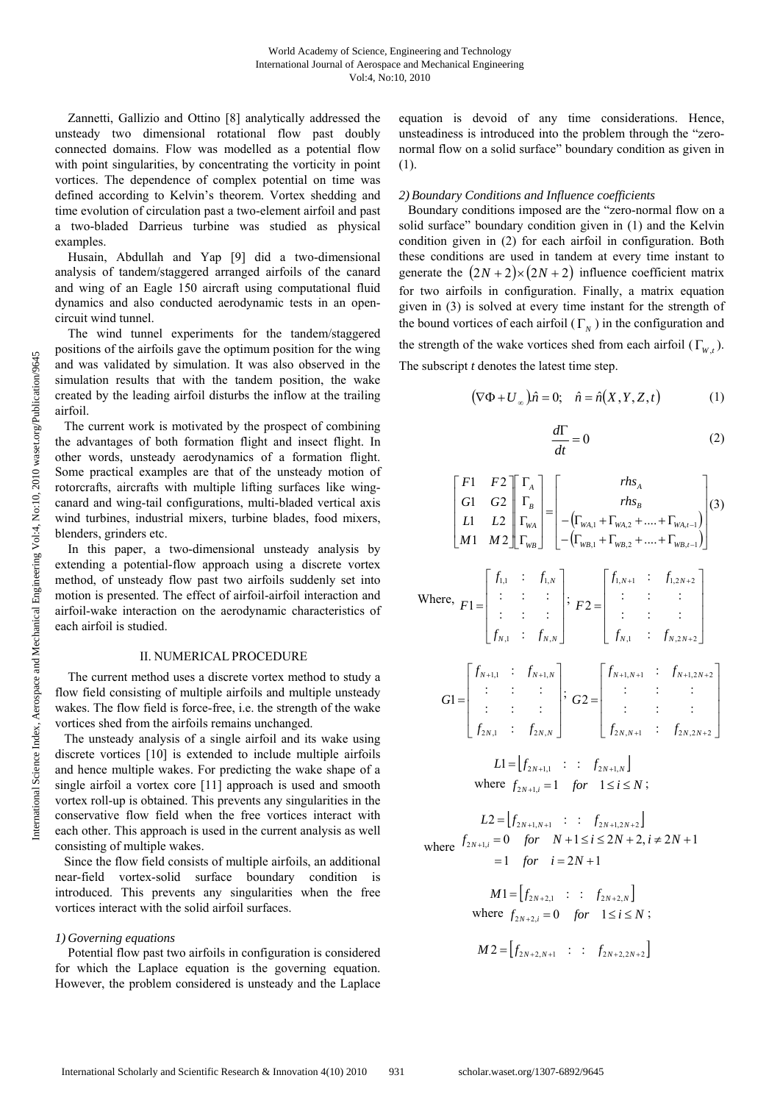Zannetti, Gallizio and Ottino [8] analytically addressed the unsteady two dimensional rotational flow past doubly connected domains. Flow was modelled as a potential flow with point singularities, by concentrating the vorticity in point vortices. The dependence of complex potential on time was defined according to Kelvin's theorem. Vortex shedding and time evolution of circulation past a two-element airfoil and past a two-bladed Darrieus turbine was studied as physical examples.

 Husain, Abdullah and Yap [9] did a two-dimensional analysis of tandem/staggered arranged airfoils of the canard and wing of an Eagle 150 aircraft using computational fluid dynamics and also conducted aerodynamic tests in an opencircuit wind tunnel.

 The wind tunnel experiments for the tandem/staggered positions of the airfoils gave the optimum position for the wing and was validated by simulation. It was also observed in the simulation results that with the tandem position, the wake created by the leading airfoil disturbs the inflow at the trailing airfoil.

The current work is motivated by the prospect of combining the advantages of both formation flight and insect flight. In other words, unsteady aerodynamics of a formation flight. Some practical examples are that of the unsteady motion of rotorcrafts, aircrafts with multiple lifting surfaces like wingcanard and wing-tail configurations, multi-bladed vertical axis wind turbines, industrial mixers, turbine blades, food mixers, blenders, grinders etc.

 In this paper, a two-dimensional unsteady analysis by extending a potential-flow approach using a discrete vortex method, of unsteady flow past two airfoils suddenly set into motion is presented. The effect of airfoil-airfoil interaction and airfoil-wake interaction on the aerodynamic characteristics of each airfoil is studied.

### II. NUMERICAL PROCEDURE

 The current method uses a discrete vortex method to study a flow field consisting of multiple airfoils and multiple unsteady wakes. The flow field is force-free, i.e. the strength of the wake vortices shed from the airfoils remains unchanged.

The unsteady analysis of a single airfoil and its wake using discrete vortices [10] is extended to include multiple airfoils and hence multiple wakes. For predicting the wake shape of a single airfoil a vortex core [11] approach is used and smooth vortex roll-up is obtained. This prevents any singularities in the conservative flow field when the free vortices interact with each other. This approach is used in the current analysis as well consisting of multiple wakes.

Since the flow field consists of multiple airfoils, an additional near-field vortex-solid surface boundary condition is introduced. This prevents any singularities when the free vortices interact with the solid airfoil surfaces.

### *1) Governing equations*

 Potential flow past two airfoils in configuration is considered for which the Laplace equation is the governing equation. However, the problem considered is unsteady and the Laplace equation is devoid of any time considerations. Hence, unsteadiness is introduced into the problem through the "zeronormal flow on a solid surface" boundary condition as given in (1).

## *2) Boundary Conditions and Influence coefficients*

Boundary conditions imposed are the "zero-normal flow on a solid surface" boundary condition given in (1) and the Kelvin condition given in (2) for each airfoil in configuration. Both these conditions are used in tandem at every time instant to generate the  $(2N+2)\times(2N+2)$  influence coefficient matrix for two airfoils in configuration. Finally, a matrix equation given in (3) is solved at every time instant for the strength of the bound vortices of each airfoil  $(\Gamma_N)$  in the configuration and the strength of the wake vortices shed from each airfoil ( $\Gamma_{w}$ ,). The subscript *t* denotes the latest time step.

$$
(\nabla \Phi + U_{\infty})\hat{n} = 0; \quad \hat{n} = \hat{n}(X, Y, Z, t)
$$
 (1)

$$
\frac{d\Gamma}{dt} = 0\tag{2}
$$

$$
\begin{bmatrix} F1 & F2 \\ G1 & G2 \\ L1 & L2 \\ M1 & M2 \end{bmatrix} \begin{bmatrix} \Gamma_A \\ \Gamma_B \\ \Gamma_{WA} \end{bmatrix} = \begin{bmatrix} rhs_A \\ rhs_B \\ - ( \Gamma_{WA,1} + \Gamma_{WA,2} + .... + \Gamma_{WA,1-1} ) \\ - ( \Gamma_{WB,1} + \Gamma_{WB,2} + .... + \Gamma_{WB,1-1} ) \end{bmatrix} (3)
$$

Where, 
$$
F1 = \begin{bmatrix} f_{1,1} & \vdots & f_{1,N} \\ \vdots & \vdots & \vdots \\ f_{N,1} & \vdots & f_{N,N} \end{bmatrix}
$$
;  $F2 = \begin{bmatrix} f_{1,N+1} & \vdots & f_{1,2N+2} \\ \vdots & \vdots & \vdots \\ f_{N,1} & \vdots & f_{N,2N+2} \end{bmatrix}$   
\n $G1 = \begin{bmatrix} f_{N+1,1} & \vdots & f_{N+1,N} \\ \vdots & \vdots & \vdots \\ f_{2N,1} & \vdots & f_{2N,N} \end{bmatrix}$ ;  $G2 = \begin{bmatrix} f_{N+1,N+1} & \vdots & f_{N+1,2N+2} \\ \vdots & \vdots & \vdots \\ f_{2N,N+1} & \vdots & f_{2N,2N+2} \end{bmatrix}$ 

$$
L1 = [f_{2N+1,1} : : f_{2N+1,N}]
$$
  
where  $f_{2N+1,i} = 1$  for  $1 \le i \le N$ ;

 $L2 = [ f_{2N+1, N+1} : : : f_{2N+1, 2N+2} ]$ where 1 *for*  $i = 2N + 1$  $\sum_{2N+1,i} = 0$  for  $N+1 \le i \le 2N+2, i \ne 2N+1$  $= 1$  for  $i = 2N +$  $_{+1,i} = 0$  for  $N+1 \le i \le 2N+2, i \ne 2N+$ *for*  $i = 2N$  $f_{2N+1,i} = 0$  *for*  $N+1 \le i \le 2N+2, i \ne 2N$ 

$$
M1 = [f_{2N+2,1} : : f_{2N+2,N}]
$$
  
where  $f_{2N+2,i} = 0$  for  $1 \le i \le N$ ;

$$
M2 = [f_{2N+2,N+1} : : f_{2N+2,2N+2}]
$$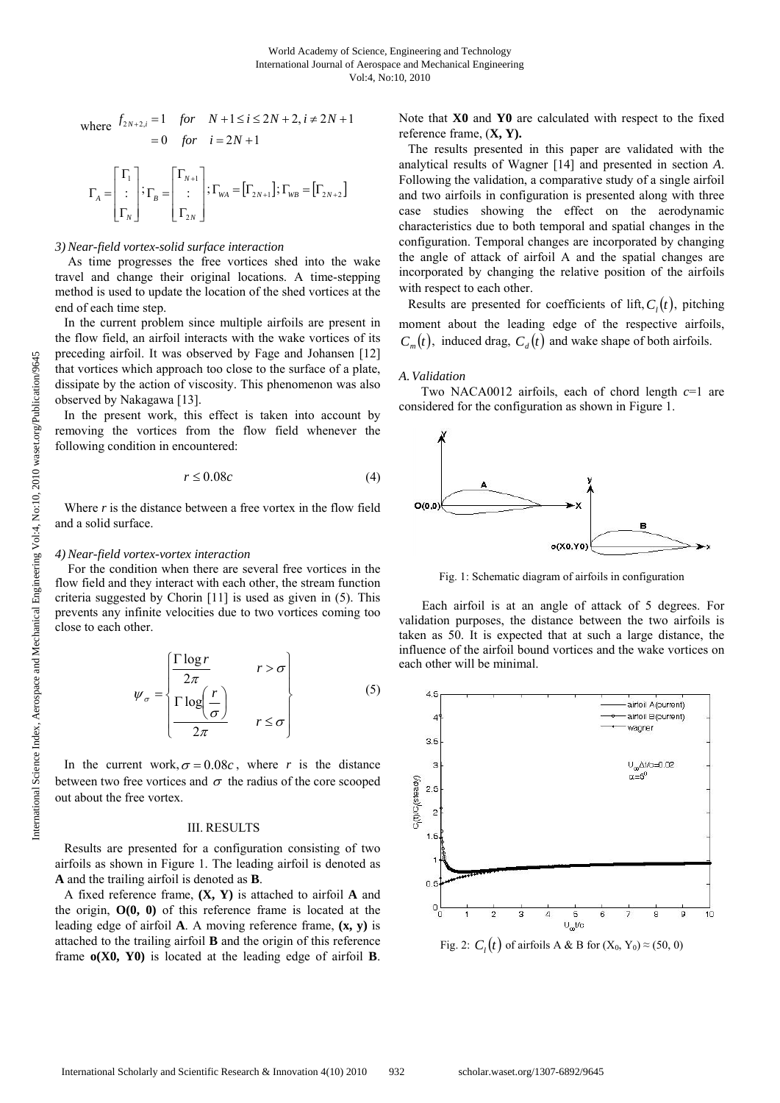where 
$$
f_{2N+2,i} = 1
$$
 for  $N+1 \le i \le 2N+2, i \ne 2N+1$   
= 0 for  $i = 2N+1$ 

$$
\Gamma_A = \begin{bmatrix} \Gamma_1 \\ \vdots \\ \Gamma_N \end{bmatrix}; \Gamma_B = \begin{bmatrix} \Gamma_{N+1} \\ \vdots \\ \Gamma_{2N} \end{bmatrix}; \Gamma_{WA} = \begin{bmatrix} \Gamma_{2N+1} \end{bmatrix}; \Gamma_{WB} = \begin{bmatrix} \Gamma_{2N+2} \end{bmatrix}
$$

## *3) Near-field vortex-solid surface interaction*

 As time progresses the free vortices shed into the wake travel and change their original locations. A time-stepping method is used to update the location of the shed vortices at the end of each time step.

In the current problem since multiple airfoils are present in the flow field, an airfoil interacts with the wake vortices of its preceding airfoil. It was observed by Fage and Johansen [12] that vortices which approach too close to the surface of a plate, dissipate by the action of viscosity. This phenomenon was also observed by Nakagawa [13].

In the present work, this effect is taken into account by removing the vortices from the flow field whenever the following condition in encountered:

$$
r \le 0.08c \tag{4}
$$

Where *r* is the distance between a free vortex in the flow field and a solid surface.

#### *4) Near-field vortex-vortex interaction*

 For the condition when there are several free vortices in the flow field and they interact with each other, the stream function criteria suggested by Chorin [11] is used as given in (5). This prevents any infinite velocities due to two vortices coming too close to each other.

$$
\psi_{\sigma} = \begin{cases}\n\frac{\Gamma \log r}{2\pi} & r > \sigma \\
\frac{\Gamma \log \left(\frac{r}{\sigma}\right)}{2\pi} & r \leq \sigma\n\end{cases}
$$
\n(5)

In the current work,  $\sigma = 0.08c$ , where *r* is the distance between two free vortices and  $\sigma$  the radius of the core scooped out about the free vortex.

# III. RESULTS

Results are presented for a configuration consisting of two airfoils as shown in Figure 1. The leading airfoil is denoted as **A** and the trailing airfoil is denoted as **B**.

A fixed reference frame, **(X, Y)** is attached to airfoil **A** and the origin, **O(0, 0)** of this reference frame is located at the leading edge of airfoil **A**. A moving reference frame, **(x, y)** is attached to the trailing airfoil **B** and the origin of this reference frame **o(X0, Y0)** is located at the leading edge of airfoil **B**. Note that **X0** and **Y0** are calculated with respect to the fixed reference frame, (**X, Y).** 

The results presented in this paper are validated with the analytical results of Wagner [14] and presented in section *A*. Following the validation, a comparative study of a single airfoil and two airfoils in configuration is presented along with three case studies showing the effect on the aerodynamic characteristics due to both temporal and spatial changes in the configuration. Temporal changes are incorporated by changing the angle of attack of airfoil A and the spatial changes are incorporated by changing the relative position of the airfoils with respect to each other.

Results are presented for coefficients of lift,  $C<sub>i</sub>(t)$ , pitching moment about the leading edge of the respective airfoils,  $C_m(t)$ , induced drag,  $C_d(t)$  and wake shape of both airfoils.

#### *A.Validation*

 Two NACA0012 airfoils, each of chord length *c*=1 are considered for the configuration as shown in Figure 1.



Fig. 1: Schematic diagram of airfoils in configuration

Each airfoil is at an angle of attack of 5 degrees. For validation purposes, the distance between the two airfoils is taken as 50. It is expected that at such a large distance, the influence of the airfoil bound vortices and the wake vortices on each other will be minimal.



Fig. 2:  $C_i(t)$  of airfoils A & B for  $(X_0, Y_0) \approx (50, 0)$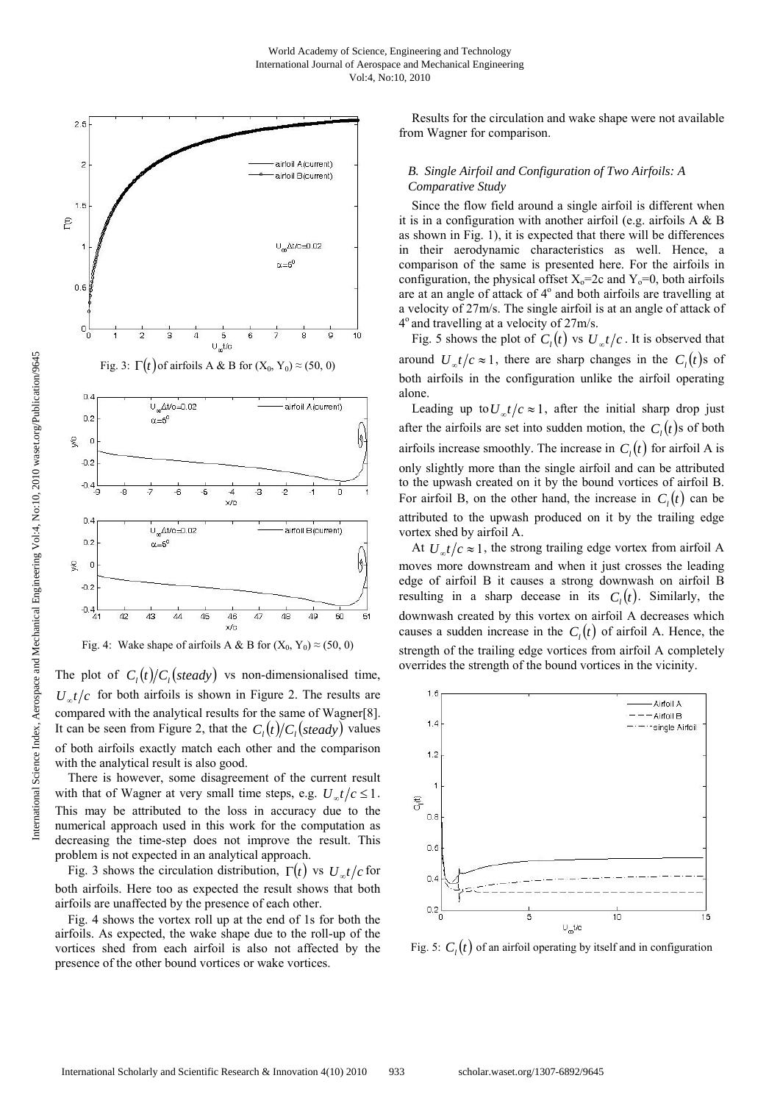



Fig. 4: Wake shape of airfoils A & B for  $(X_0, Y_0) \approx (50, 0)$ 

The plot of  $C_1(t)/C_1(steady)$  vs non-dimensionalised time,  $U_{\alpha}t/c$  for both airfoils is shown in Figure 2. The results are compared with the analytical results for the same of Wagner[8]. It can be seen from Figure 2, that the  $C_1(t)/C_1(steady)$  values of both airfoils exactly match each other and the comparison with the analytical result is also good.

 There is however, some disagreement of the current result with that of Wagner at very small time steps, e.g.  $U_{\infty}t/c \leq 1$ . This may be attributed to the loss in accuracy due to the numerical approach used in this work for the computation as decreasing the time-step does not improve the result. This problem is not expected in an analytical approach.

Fig. 3 shows the circulation distribution,  $\Gamma(t)$  vs  $U_{\infty}t/c$  for both airfoils. Here too as expected the result shows that both airfoils are unaffected by the presence of each other.

 Fig. 4 shows the vortex roll up at the end of 1s for both the airfoils. As expected, the wake shape due to the roll-up of the vortices shed from each airfoil is also not affected by the presence of the other bound vortices or wake vortices.

 Results for the circulation and wake shape were not available from Wagner for comparison.

## *B. Single Airfoil and Configuration of Two Airfoils: A Comparative Study*

 Since the flow field around a single airfoil is different when it is in a configuration with another airfoil (e.g. airfoils A & B as shown in Fig. 1), it is expected that there will be differences in their aerodynamic characteristics as well. Hence, a comparison of the same is presented here. For the airfoils in configuration, the physical offset  $X_0$ =2c and  $Y_0$ =0, both airfoils are at an angle of attack of 4° and both airfoils are travelling at a velocity of 27m/s. The single airfoil is at an angle of attack of 4o and travelling at a velocity of 27m/s.

Fig. 5 shows the plot of  $C_l(t)$  vs  $U_{\alpha}t/c$ . It is observed that around  $U_{\infty}t/c \approx 1$ , there are sharp changes in the  $C_i(t)$  s of both airfoils in the configuration unlike the airfoil operating alone.

Leading up to  $U_{\alpha}t/c \approx 1$ , after the initial sharp drop just after the airfoils are set into sudden motion, the  $C_i(t)$  s of both airfoils increase smoothly. The increase in  $C_i(t)$  for airfoil A is only slightly more than the single airfoil and can be attributed to the upwash created on it by the bound vortices of airfoil B. For airfoil B, on the other hand, the increase in  $C<sub>i</sub>(t)$  can be attributed to the upwash produced on it by the trailing edge vortex shed by airfoil A.

At  $U_{\infty}t/c \approx 1$ , the strong trailing edge vortex from airfoil A moves more downstream and when it just crosses the leading edge of airfoil B it causes a strong downwash on airfoil B resulting in a sharp decease in its  $C<sub>i</sub>(t)$ . Similarly, the downwash created by this vortex on airfoil A decreases which causes a sudden increase in the  $C_l(t)$  of airfoil A. Hence, the strength of the trailing edge vortices from airfoil A completely overrides the strength of the bound vortices in the vicinity.



Fig. 5:  $C<sub>i</sub>(t)$  of an airfoil operating by itself and in configuration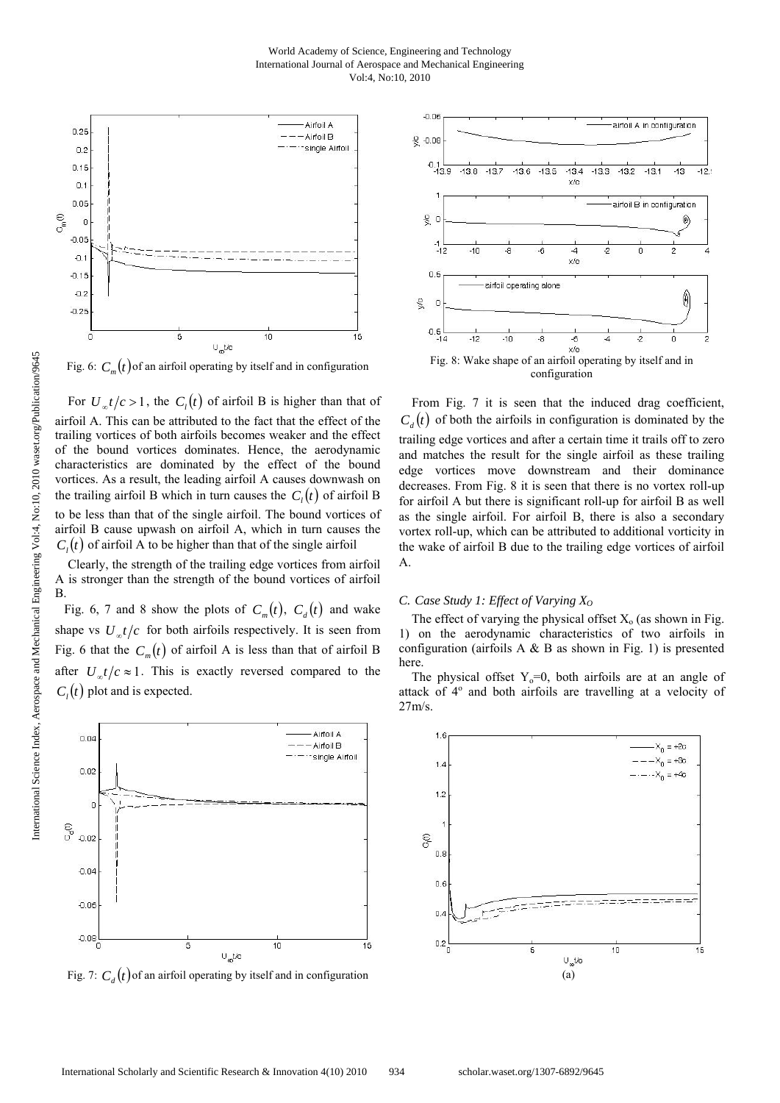

Fig. 6:  $C_n(t)$  of an airfoil operating by itself and in configuration

For  $U_{\alpha}t/c > 1$ , the  $C_l(t)$  of airfoil B is higher than that of airfoil A. This can be attributed to the fact that the effect of the trailing vortices of both airfoils becomes weaker and the effect of the bound vortices dominates. Hence, the aerodynamic characteristics are dominated by the effect of the bound vortices. As a result, the leading airfoil A causes downwash on the trailing airfoil B which in turn causes the  $C<sub>i</sub>(t)$  of airfoil B to be less than that of the single airfoil. The bound vortices of airfoil B cause upwash on airfoil A, which in turn causes the  $C<sub>i</sub>(t)$  of airfoil A to be higher than that of the single airfoil

 Clearly, the strength of the trailing edge vortices from airfoil A is stronger than the strength of the bound vortices of airfoil B.

Fig. 6, 7 and 8 show the plots of  $C_m(t)$ ,  $C_d(t)$  and wake shape vs  $U_{\alpha}t/c$  for both airfoils respectively. It is seen from Fig. 6 that the  $C_m(t)$  of airfoil A is less than that of airfoil B after  $U_{\alpha}t/c \approx 1$ . This is exactly reversed compared to the  $C<sub>i</sub>(t)$  plot and is expected.



Fig. 7:  $C_a(t)$  of an airfoil operating by itself and in configuration



 From Fig. 7 it is seen that the induced drag coefficient,  $C_{\lambda}(t)$  of both the airfoils in configuration is dominated by the trailing edge vortices and after a certain time it trails off to zero and matches the result for the single airfoil as these trailing edge vortices move downstream and their dominance decreases. From Fig. 8 it is seen that there is no vortex roll-up for airfoil A but there is significant roll-up for airfoil B as well as the single airfoil. For airfoil B, there is also a secondary vortex roll-up, which can be attributed to additional vorticity in the wake of airfoil B due to the trailing edge vortices of airfoil A.

# *C. Case Study 1: Effect of Varying X<sub>0</sub>*

The effect of varying the physical offset  $X_0$  (as shown in Fig. 1) on the aerodynamic characteristics of two airfoils in configuration (airfoils A & B as shown in Fig. 1) is presented here.

The physical offset  $Y_0=0$ , both airfoils are at an angle of attack of 4<sup>°</sup> and both airfoils are travelling at a velocity of 27m/s.

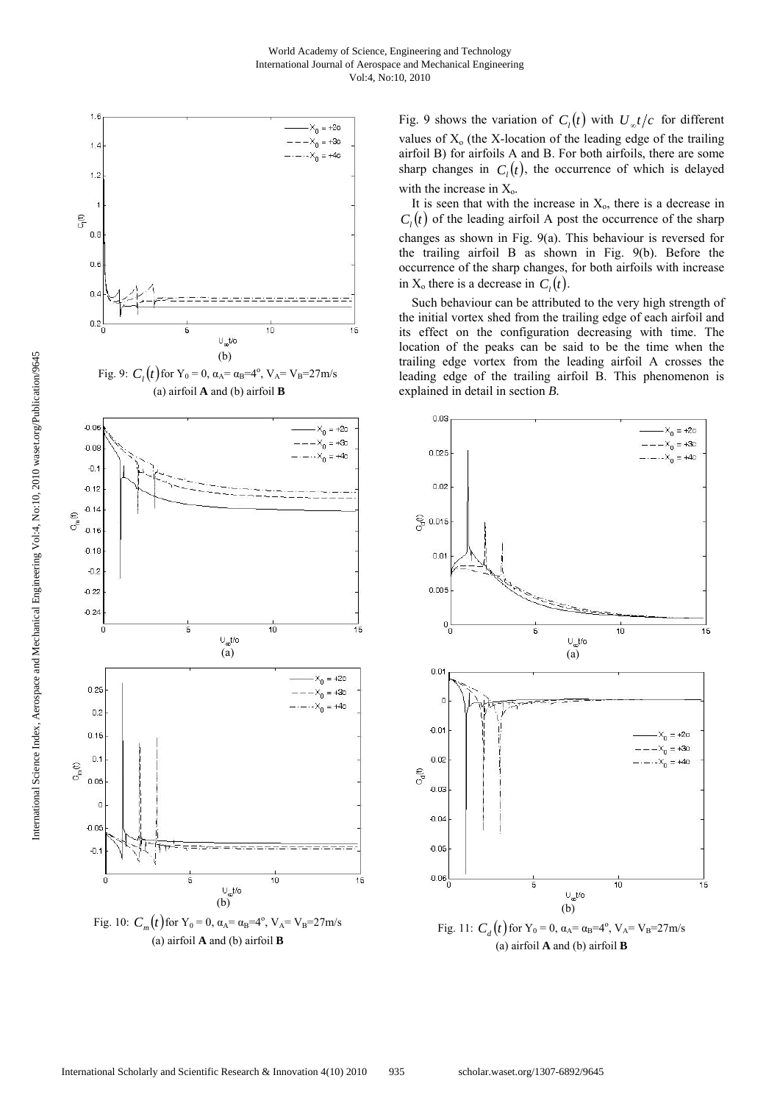



Fig. 9 shows the variation of  $C_l(t)$  with  $U_{\infty}t/c$  for different values of  $X_0$  (the X-location of the leading edge of the trailing airfoil B) for airfoils A and B. For both airfoils, there are some sharp changes in  $C<sub>i</sub>(t)$ , the occurrence of which is delayed with the increase in  $X_0$ .

It is seen that with the increase in  $X_0$ , there is a decrease in  $C<sub>i</sub>(t)$  of the leading airfoil A post the occurrence of the sharp changes as shown in Fig. 9(a). This behaviour is reversed for the trailing airfoil B as shown in Fig. 9(b). Before the occurrence of the sharp changes, for both airfoils with increase in  $X_0$  there is a decrease in  $C_i(t)$ .

 Such behaviour can be attributed to the very high strength of the initial vortex shed from the trailing edge of each airfoil and its effect on the configuration decreasing with time. The location of the peaks can be said to be the time when the trailing edge vortex from the leading airfoil A crosses the leading edge of the trailing airfoil B. This phenomenon is explained in detail in section *B.*



Fig. 11:  $C_d(t)$  for  $Y_0 = 0$ ,  $\alpha_A = \alpha_B = 4^\circ$ ,  $V_A = V_B = 27 \text{m/s}$ (a) airfoil **A** and (b) airfoil **B**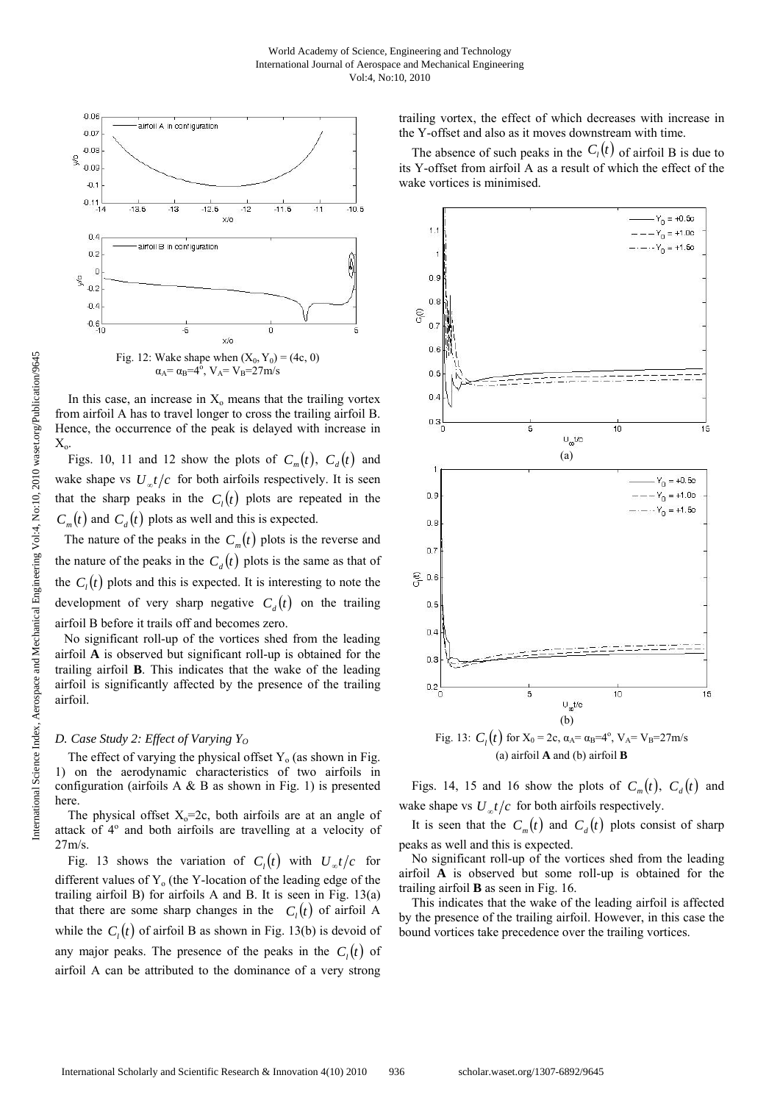

In this case, an increase in  $X_0$  means that the trailing vortex from airfoil A has to travel longer to cross the trailing airfoil B. Hence, the occurrence of the peak is delayed with increase in  $X_{o}$ 

Figs. 10, 11 and 12 show the plots of  $C_m(t)$ ,  $C_d(t)$  and wake shape vs  $U_{\alpha}t/c$  for both airfoils respectively. It is seen that the sharp peaks in the  $C<sub>i</sub>(t)$  plots are repeated in the  $C_m(t)$  and  $C_d(t)$  plots as well and this is expected.

The nature of the peaks in the  $C_m(t)$  plots is the reverse and the nature of the peaks in the  $C_d(t)$  plots is the same as that of the  $C_i(t)$  plots and this is expected. It is interesting to note the development of very sharp negative  $C_a(t)$  on the trailing airfoil B before it trails off and becomes zero.

No significant roll-up of the vortices shed from the leading airfoil **A** is observed but significant roll-up is obtained for the trailing airfoil **B**. This indicates that the wake of the leading airfoil is significantly affected by the presence of the trailing airfoil.

# *D. Case Study 2: Effect of Varying Y<sub>0</sub>*

The effect of varying the physical offset  $Y_0$  (as shown in Fig. 1) on the aerodynamic characteristics of two airfoils in configuration (airfoils  $A \& B$  as shown in Fig. 1) is presented here.

The physical offset  $X_0$ =2c, both airfoils are at an angle of attack of 4° and both airfoils are travelling at a velocity of 27m/s.

Fig. 13 shows the variation of  $C_1(t)$  with  $U_{\infty}t/c$  for different values of  $Y_0$  (the Y-location of the leading edge of the trailing airfoil B) for airfoils A and B. It is seen in Fig. 13(a) that there are some sharp changes in the  $C<sub>i</sub>(t)$  of airfoil A while the  $C<sub>i</sub>(t)$  of airfoil B as shown in Fig. 13(b) is devoid of any major peaks. The presence of the peaks in the  $C<sub>1</sub>(t)$  of airfoil A can be attributed to the dominance of a very strong trailing vortex, the effect of which decreases with increase in the Y-offset and also as it moves downstream with time.

The absence of such peaks in the  $C_l(t)$  of airfoil B is due to its Y-offset from airfoil A as a result of which the effect of the wake vortices is minimised.



(a) airfoil **A** and (b) airfoil **B** 

Figs. 14, 15 and 16 show the plots of  $C_m(t)$ ,  $C_a(t)$  and wake shape vs  $U_{\alpha}t/c$  for both airfoils respectively.

It is seen that the  $C_m(t)$  and  $C_d(t)$  plots consist of sharp peaks as well and this is expected.

 No significant roll-up of the vortices shed from the leading airfoil **A** is observed but some roll-up is obtained for the trailing airfoil **B** as seen in Fig. 16.

 This indicates that the wake of the leading airfoil is affected by the presence of the trailing airfoil. However, in this case the bound vortices take precedence over the trailing vortices.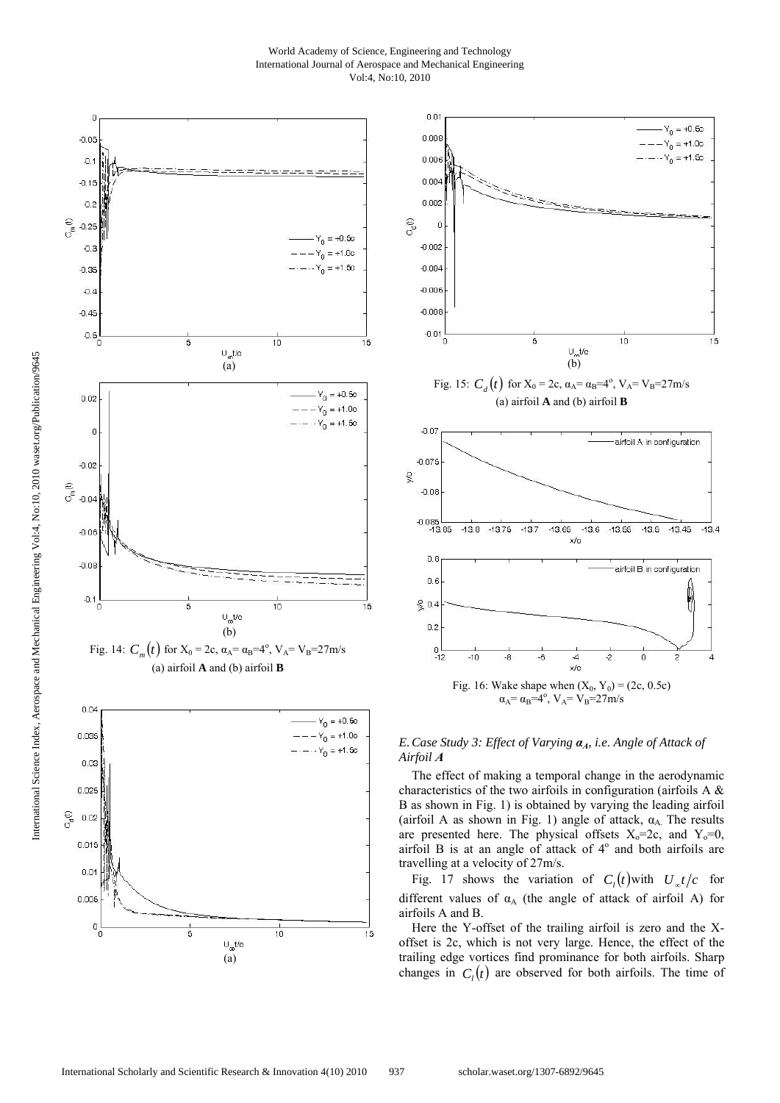World Academy of Science, Engineering and Technology International Journal of Aerospace and Mechanical Engineering Vol:4, No:10, 2010







*E.Case Study 3: Effect of Varying αA, i.e. Angle of Attack of Airfoil A* 

 The effect of making a temporal change in the aerodynamic characteristics of the two airfoils in configuration (airfoils A & B as shown in Fig. 1) is obtained by varying the leading airfoil (airfoil A as shown in Fig. 1) angle of attack,  $\alpha_A$ . The results are presented here. The physical offsets  $X_0=2c$ , and  $Y_0=0$ , airfoil B is at an angle of attack of  $4^\circ$  and both airfoils are travelling at a velocity of 27m/s.

Fig. 17 shows the variation of  $C_1(t)$  with  $U_{\infty}t/c$  for different values of  $\alpha_A$  (the angle of attack of airfoil A) for airfoils A and B.

 Here the Y-offset of the trailing airfoil is zero and the Xoffset is 2c, which is not very large. Hence, the effect of the trailing edge vortices find prominance for both airfoils. Sharp changes in  $C<sub>i</sub>(t)$  are observed for both airfoils. The time of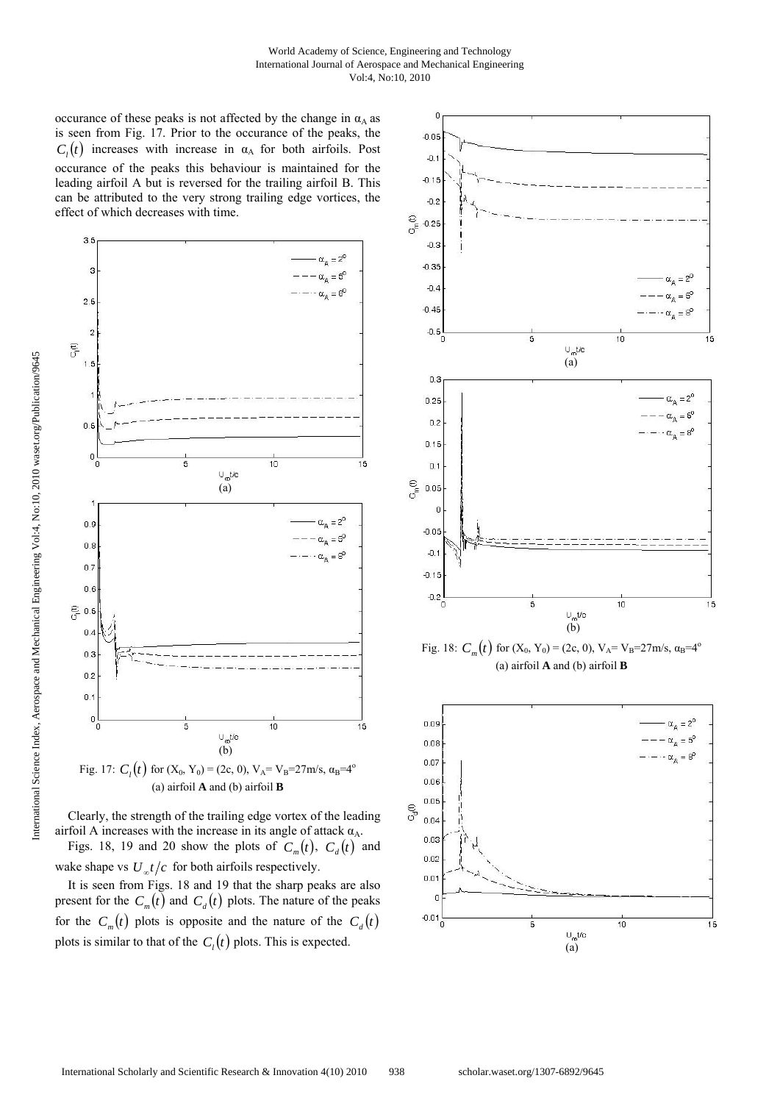occurance of these peaks is not affected by the change in  $\alpha_A$  as is seen from Fig. 17. Prior to the occurance of the peaks, the  $C<sub>i</sub>(t)$  increases with increase in  $\alpha_A$  for both airfoils. Post occurance of the peaks this behaviour is maintained for the leading airfoil A but is reversed for the trailing airfoil B. This can be attributed to the very strong trailing edge vortices, the effect of which decreases with time.





Figs. 18, 19 and 20 show the plots of  $C_m(t)$ ,  $C_d(t)$  and wake shape vs  $U_{\alpha}t/c$  for both airfoils respectively.

 It is seen from Figs. 18 and 19 that the sharp peaks are also present for the  $C_m(t)$  and  $C_d(t)$  plots. The nature of the peaks for the  $C_m(t)$  plots is opposite and the nature of the  $C_d(t)$ plots is similar to that of the  $C<sub>i</sub>(t)$  plots. This is expected.



Fig. 18:  $C_m(t)$  for  $(X_0, Y_0) = (2c, 0), V_A = V_B = 27 \text{ m/s}, \alpha_B = 4^\circ$ (a) airfoil **A** and (b) airfoil **B** 

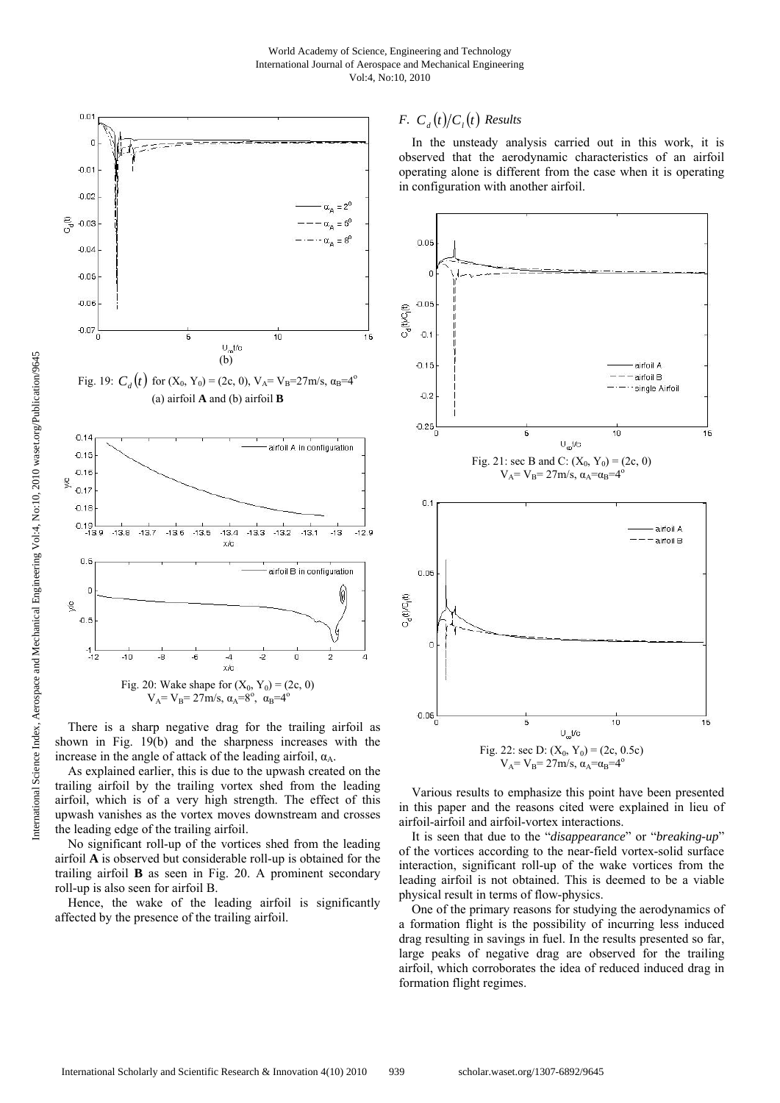

 There is a sharp negative drag for the trailing airfoil as shown in Fig. 19(b) and the sharpness increases with the increase in the angle of attack of the leading airfoil,  $\alpha_A$ .

 As explained earlier, this is due to the upwash created on the trailing airfoil by the trailing vortex shed from the leading airfoil, which is of a very high strength. The effect of this upwash vanishes as the vortex moves downstream and crosses the leading edge of the trailing airfoil.

 No significant roll-up of the vortices shed from the leading airfoil **A** is observed but considerable roll-up is obtained for the trailing airfoil **B** as seen in Fig. 20. A prominent secondary roll-up is also seen for airfoil B.

 Hence, the wake of the leading airfoil is significantly affected by the presence of the trailing airfoil.

# *F.*  $C_a(t)/C_i(t)$  *Results*

 In the unsteady analysis carried out in this work, it is observed that the aerodynamic characteristics of an airfoil operating alone is different from the case when it is operating in configuration with another airfoil.



 Various results to emphasize this point have been presented in this paper and the reasons cited were explained in lieu of airfoil-airfoil and airfoil-vortex interactions.

 It is seen that due to the "*disappearance*" or "*breaking-up*" of the vortices according to the near-field vortex-solid surface interaction, significant roll-up of the wake vortices from the leading airfoil is not obtained. This is deemed to be a viable physical result in terms of flow-physics.

 One of the primary reasons for studying the aerodynamics of a formation flight is the possibility of incurring less induced drag resulting in savings in fuel. In the results presented so far, large peaks of negative drag are observed for the trailing airfoil, which corroborates the idea of reduced induced drag in formation flight regimes.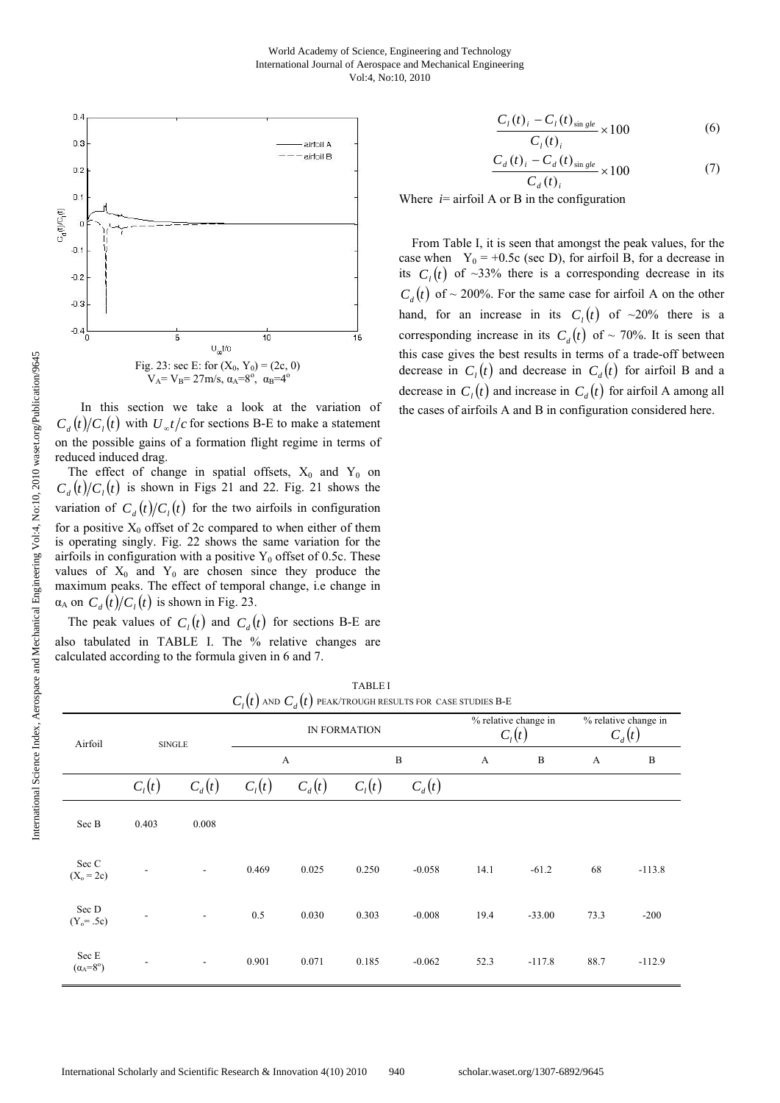

 In this section we take a look at the variation of  $C_d(t)/C_l(t)$  with  $U_{at}/c$  for sections B-E to make a statement on the possible gains of a formation flight regime in terms of reduced induced drag.

The effect of change in spatial offsets,  $X_0$  and  $Y_0$  on  $C_d(t)/C_l(t)$  is shown in Figs 21 and 22. Fig. 21 shows the variation of  $C_a(t)/C_b(t)$  for the two airfoils in configuration for a positive  $X_0$  offset of 2c compared to when either of them is operating singly. Fig. 22 shows the same variation for the airfoils in configuration with a positive  $Y_0$  offset of 0.5c. These values of  $X_0$  and  $Y_0$  are chosen since they produce the maximum peaks. The effect of temporal change, i.e change in  $\alpha_A$  on  $C_a(t)/C_i(t)$  is shown in Fig. 23.

The peak values of  $C_i(t)$  and  $C_i(t)$  for sections B-E are also tabulated in TABLE I. The % relative changes are calculated according to the formula given in 6 and 7.

$$
\frac{C_{i}(t)_{i} - C_{i}(t)_{\sin gle}}{C_{i}(t)_{i}} \times 100
$$
 (6)

$$
\frac{C_{d}(t)_{i} - C_{d}(t)_{\sin gl_{e}}}{C_{d}(t)_{i}} \times 100
$$
\n(7)

Where  $i$ = airfoil A or B in the configuration

 From Table I, it is seen that amongst the peak values, for the case when  $Y_0 = +0.5c$  (sec D), for airfoil B, for a decrease in its  $C<sub>i</sub>(t)$  of ~33% there is a corresponding decrease in its  $C_d(t)$  of ~ 200%. For the same case for airfoil A on the other hand, for an increase in its  $C_l(t)$  of ~20% there is a corresponding increase in its  $C_d(t)$  of ~ 70%. It is seen that this case gives the best results in terms of a trade-off between decrease in  $C_1(t)$  and decrease in  $C_d(t)$  for airfoil B and a decrease in  $C_1(t)$  and increase in  $C_d(t)$  for airfoil A among all the cases of airfoils A and B in configuration considered here.

| Airfoil                       | <b>SINGLE</b>            |                          | <b>IN FORMATION</b> |          |                  |          | % relative change in<br>$C_l(t)$ |              | % relative change in<br>$C_d(t)$ |              |
|-------------------------------|--------------------------|--------------------------|---------------------|----------|------------------|----------|----------------------------------|--------------|----------------------------------|--------------|
|                               |                          |                          | A                   |          | $\boldsymbol{B}$ |          | $\boldsymbol{A}$                 | $\, {\bf B}$ | A                                | $\, {\bf B}$ |
|                               | $C_l(t)$                 | $C_d(t)$                 | $C_l(t)$            | $C_d(t)$ | $C_l(t)$         | $C_d(t)$ |                                  |              |                                  |              |
| Sec B                         | 0.403                    | 0.008                    |                     |          |                  |          |                                  |              |                                  |              |
| Sec C<br>$(X_0 = 2c)$         | $\overline{\phantom{a}}$ | $\overline{\phantom{a}}$ | 0.469               | 0.025    | 0.250            | $-0.058$ | 14.1                             | $-61.2$      | 68                               | $-113.8$     |
| Sec D<br>$(Y_0 = .5c)$        | $\overline{\phantom{a}}$ | $\overline{\phantom{a}}$ | 0.5                 | 0.030    | 0.303            | $-0.008$ | 19.4                             | $-33.00$     | 73.3                             | $-200$       |
| Sec E<br>$(\alpha_A=8^\circ)$ |                          |                          | 0.901               | 0.071    | 0.185            | $-0.062$ | 52.3                             | $-117.8$     | 88.7                             | $-112.9$     |

TABLE I  $C_i(t)$  and  $C_j(t)$  peak/trough results for case studies B-E